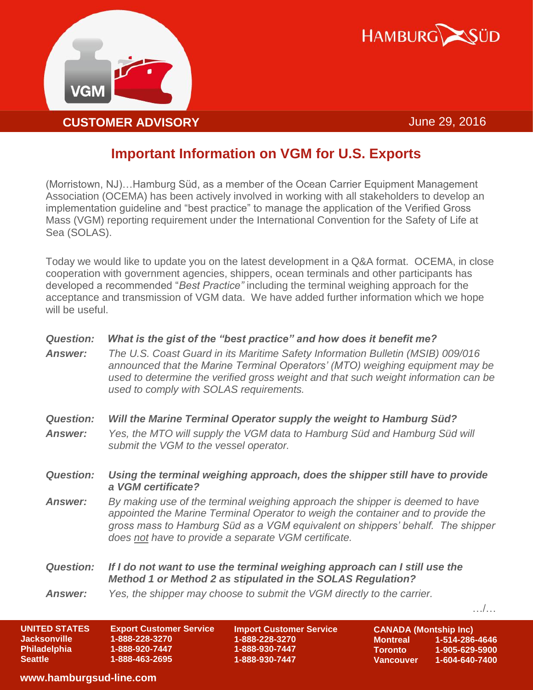



## **Important Information on VGM for U.S. Exports**

(Morristown, NJ)…Hamburg Süd, as a member of the Ocean Carrier Equipment Management Association (OCEMA) has been actively involved in working with all stakeholders to develop an implementation guideline and "best practice" to manage the application of the Verified Gross Mass (VGM) reporting requirement under the International Convention for the Safety of Life at Sea (SOLAS).

Today we would like to update you on the latest development in a Q&A format. OCEMA, in close cooperation with government agencies, shippers, ocean terminals and other participants has developed a recommended "*Best Practice"* including the terminal weighing approach for the acceptance and transmission of VGM data. We have added further information which we hope will be useful.

| <b>Question:</b><br><b>Answer:</b> | What is the gist of the "best practice" and how does it benefit me?<br>The U.S. Coast Guard in its Maritime Safety Information Bulletin (MSIB) 009/016<br>announced that the Marine Terminal Operators' (MTO) weighing equipment may be<br>used to determine the verified gross weight and that such weight information can be<br>used to comply with SOLAS requirements. |
|------------------------------------|---------------------------------------------------------------------------------------------------------------------------------------------------------------------------------------------------------------------------------------------------------------------------------------------------------------------------------------------------------------------------|
| <b>Question:</b>                   | Will the Marine Terminal Operator supply the weight to Hamburg Süd?                                                                                                                                                                                                                                                                                                       |
| <b>Answer:</b>                     | Yes, the MTO will supply the VGM data to Hamburg Süd and Hamburg Süd will<br>submit the VGM to the vessel operator.                                                                                                                                                                                                                                                       |
| <b>Question:</b>                   | Using the terminal weighing approach, does the shipper still have to provide<br>a VGM certificate?                                                                                                                                                                                                                                                                        |
| <b>Answer:</b>                     | By making use of the terminal weighing approach the shipper is deemed to have<br>appointed the Marine Terminal Operator to weigh the container and to provide the<br>gross mass to Hamburg Süd as a VGM equivalent on shippers' behalf. The shipper<br>does not have to provide a separate VGM certificate.                                                               |
| <b>Question:</b>                   | If I do not want to use the terminal weighing approach can I still use the<br>Method 1 or Method 2 as stipulated in the SOLAS Regulation?                                                                                                                                                                                                                                 |
| <b>Answer:</b>                     | Yes, the shipper may choose to submit the VGM directly to the carrier.                                                                                                                                                                                                                                                                                                    |
|                                    |                                                                                                                                                                                                                                                                                                                                                                           |

| <b>UNITED STATES</b> | <b>Export Customer Service</b> | <b>Import Customer Service</b> | <b>CANADA</b>   |
|----------------------|--------------------------------|--------------------------------|-----------------|
| <b>Jacksonville</b>  | 1-888-228-3270                 | 1-888-228-3270                 | <b>Montreal</b> |
| <b>Philadelphia</b>  | 1-888-920-7447                 | 1-888-930-7447                 | <b>Toronto</b>  |
| <b>Seattle</b>       | 1-888-463-2695                 | 1-888-930-7447                 | <b>Vancouve</b> |



## **www.hamburgsud-line.com**